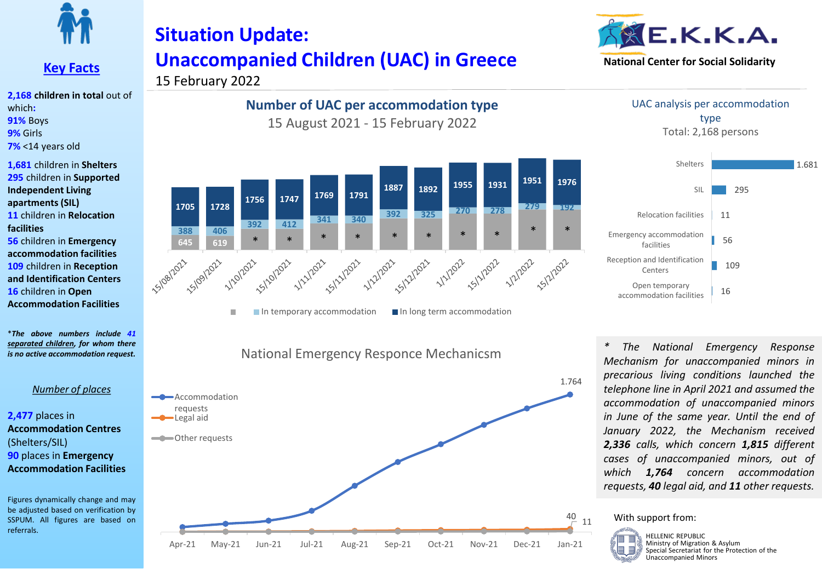

## **Key Facts**

**2,168 children in total** out of which**: 91%** Boys **9%** Girls **7%** <14 years old

**1,681** children in **Shelters 295** children in **Supported Independent Living apartments (SIL) 11** children in **Relocation facilities 56** children in **Emergency accommodation facilities 109** children in **Reception and Identification Centers** 

**16** children in **Open Accommodation Facilities**

\**The above numbers include 41 separated children, for whom there is no active accommodation request.*

### *Number of places*

### **2,477** places in **Accommodation Centres** (Shelters/SIL) **90** places in **Emergency Accommodation Facilities**

Figures dynamically change and may be adjusted based on verification by SSPUM. All figures are based on referrals.

# **Situation Update: Unaccompanied Children (UAC) in Greece**



15 February 2022

## **Number of UAC per accommodation type** 15 August 2021 - 15 February 2022



 $\blacksquare$  In temporary accommodation  $\blacksquare$  In long term accommodation  $\Box$ 





UAC analysis per accommodation type Total: 2,168 persons



*\* The National Emergency Response Mechanism for unaccompanied minors in precarious living conditions launched the telephone line in April 2021 and assumed the accommodation of unaccompanied minors in June of the same year. Until the end of January 2022, the Mechanism received 2,336 calls, which concern 1,815 different cases of unaccompanied minors, out of which 1,764 concern accommodation requests, 40 legal aid, and 11 other requests.*

### With support from:

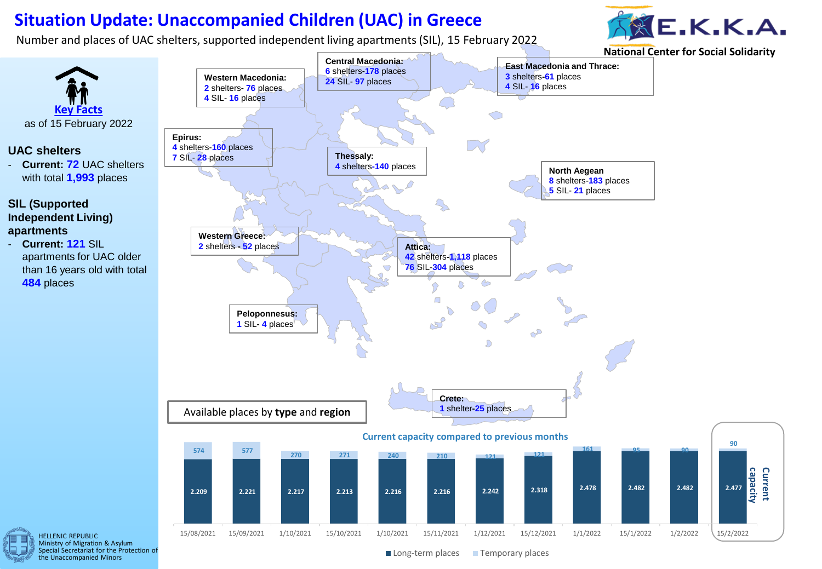## **Situation Update: Unaccompanied Children (UAC) in Greece**

Number and places of UAC shelters, supported independent living apartments (SIL), 15 February 2022







Special Secretariat for the Protection of the Unaccompanied Minors

Long-term places Temporary places